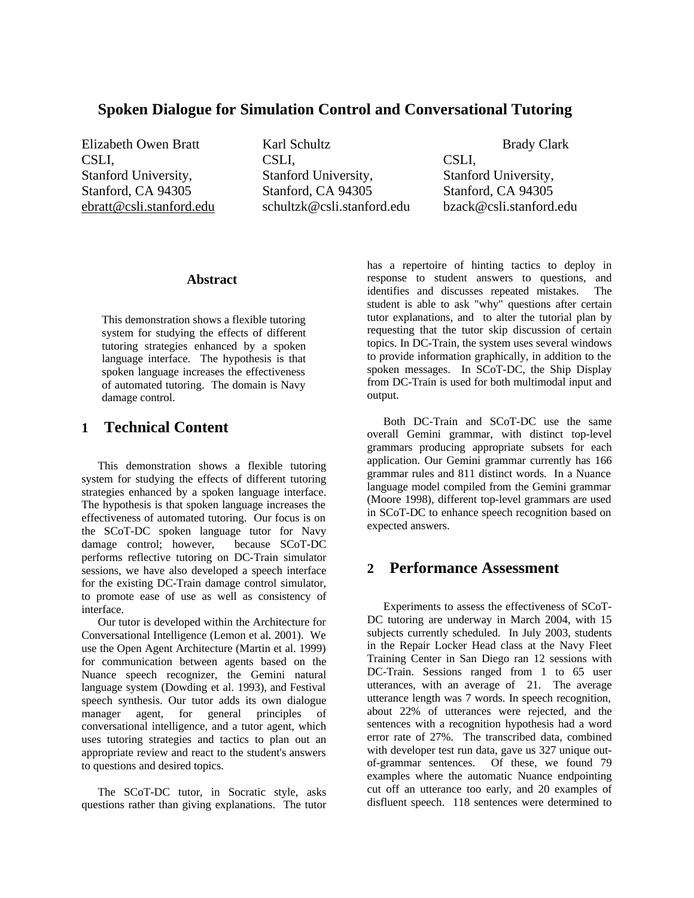## **Spoken Dialogue for Simulation Control and Conversational Tutoring**

CSLI, Stanford University, Stanford, CA 94305

Elizabeth Owen Bratt Karl Schultz Brady Clark CSLI, Stanford University, Stanford, CA 94305 ebratt@csli.stanford.edu schultzk@csli.stanford.edu bzack@csli.stanford.edu

CSLI, Stanford University, Stanford, CA 94305

#### **Abstract**

This demonstration shows a flexible tutoring system for studying the effects of different tutoring strategies enhanced by a spoken language interface. The hypothesis is that spoken language increases the effectiveness of automated tutoring. The domain is Navy damage control.

## **1 Technical Content**

This demonstration shows a flexible tutoring system for studying the effects of different tutoring strategies enhanced by a spoken language interface. The hypothesis is that spoken language increases the effectiveness of automated tutoring. Our focus is on the SCoT-DC spoken language tutor for Navy<br>damage control: however. because SCoT-DC  $d$ amage control; however, performs reflective tutoring on DC-Train simulator sessions, we have also developed a speech interface for the existing DC-Train damage control simulator, to promote ease of use as well as consistency of interface.

Our tutor is developed within the Architecture for Conversational Intelligence (Lemon et al. 2001). We use the Open Agent Architecture (Martin et al. 1999) for communication between agents based on the Nuance speech recognizer, the Gemini natural language system (Dowding et al. 1993), and Festival speech synthesis. Our tutor adds its own dialogue manager agent, for general principles of conversational intelligence, and a tutor agent, which uses tutoring strategies and tactics to plan out an appropriate review and react to the student's answers to questions and desired topics.

The SCoT-DC tutor, in Socratic style, asks questions rather than giving explanations. The tutor has a repertoire of hinting tactics to deploy in response to student answers to questions, and identifies and discusses repeated mistakes. The student is able to ask "why" questions after certain tutor explanations, and to alter the tutorial plan by requesting that the tutor skip discussion of certain topics. In DC-Train, the system uses several windows to provide information graphically, in addition to the spoken messages. In SCoT-DC, the Ship Display from DC-Train is used for both multimodal input and output.

Both DC-Train and SCoT-DC use the same overall Gemini grammar, with distinct top-level grammars producing appropriate subsets for each application. Our Gemini grammar currently has 166 grammar rules and 811 distinct words. In a Nuance language model compiled from the Gemini grammar (Moore 1998), different top-level grammars are used in SCoT-DC to enhance speech recognition based on expected answers.

## **2 Performance Assessment**

Experiments to assess the effectiveness of SCoT-DC tutoring are underway in March 2004, with 15 subjects currently scheduled. In July 2003, students in the Repair Locker Head class at the Navy Fleet Training Center in San Diego ran 12 sessions with DC-Train. Sessions ranged from 1 to 65 user utterances, with an average of 21. The average utterance length was 7 words. In speech recognition, about 22% of utterances were rejected, and the sentences with a recognition hypothesis had a word error rate of 27%. The transcribed data, combined with developer test run data, gave us 327 unique outof-grammar sentences. Of these, we found 79 examples where the automatic Nuance endpointing cut off an utterance too early, and 20 examples of disfluent speech. 118 sentences were determined to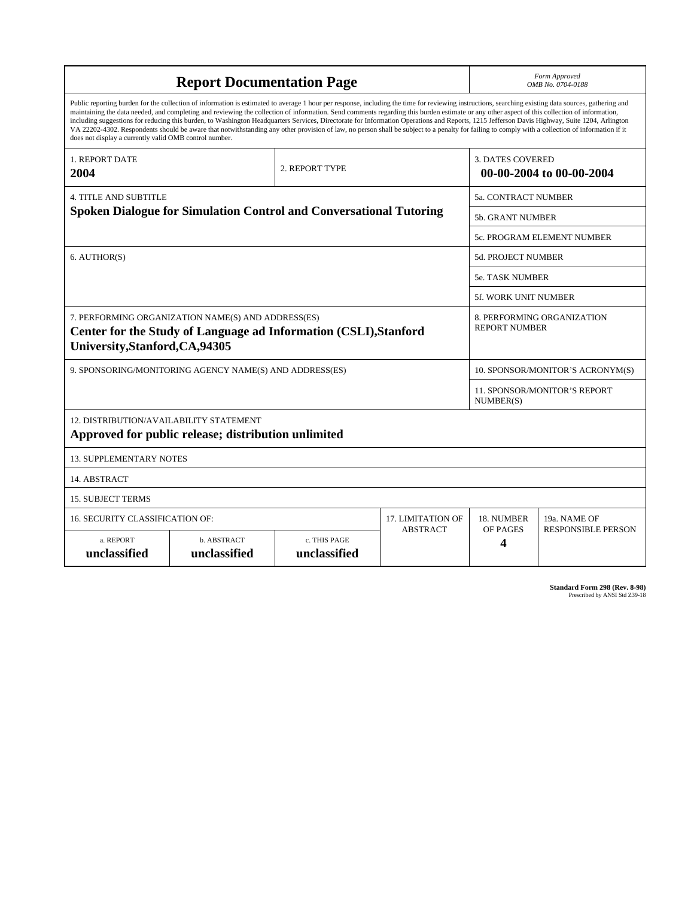| <b>Report Documentation Page</b>                                                                                                                                                                                                                                                                                                                                                                                                                                                                                                                                                                                                                                                                                                                                                                                                                                   |                             |                              |                 | Form Approved<br>OMB No. 0704-0188                  |                           |
|--------------------------------------------------------------------------------------------------------------------------------------------------------------------------------------------------------------------------------------------------------------------------------------------------------------------------------------------------------------------------------------------------------------------------------------------------------------------------------------------------------------------------------------------------------------------------------------------------------------------------------------------------------------------------------------------------------------------------------------------------------------------------------------------------------------------------------------------------------------------|-----------------------------|------------------------------|-----------------|-----------------------------------------------------|---------------------------|
| Public reporting burden for the collection of information is estimated to average 1 hour per response, including the time for reviewing instructions, searching existing data sources, gathering and<br>maintaining the data needed, and completing and reviewing the collection of information. Send comments regarding this burden estimate or any other aspect of this collection of information,<br>including suggestions for reducing this burden, to Washington Headquarters Services, Directorate for Information Operations and Reports, 1215 Jefferson Davis Highway, Suite 1204, Arlington<br>VA 22202-4302. Respondents should be aware that notwithstanding any other provision of law, no person shall be subject to a penalty for failing to comply with a collection of information if it<br>does not display a currently valid OMB control number. |                             |                              |                 |                                                     |                           |
| <b>1. REPORT DATE</b><br>2004                                                                                                                                                                                                                                                                                                                                                                                                                                                                                                                                                                                                                                                                                                                                                                                                                                      | 2. REPORT TYPE              |                              |                 | <b>3. DATES COVERED</b><br>00-00-2004 to 00-00-2004 |                           |
| <b>4. TITLE AND SUBTITLE</b><br><b>Spoken Dialogue for Simulation Control and Conversational Tutoring</b>                                                                                                                                                                                                                                                                                                                                                                                                                                                                                                                                                                                                                                                                                                                                                          |                             |                              |                 | 5a. CONTRACT NUMBER                                 |                           |
|                                                                                                                                                                                                                                                                                                                                                                                                                                                                                                                                                                                                                                                                                                                                                                                                                                                                    |                             |                              |                 | 5b. GRANT NUMBER                                    |                           |
|                                                                                                                                                                                                                                                                                                                                                                                                                                                                                                                                                                                                                                                                                                                                                                                                                                                                    |                             |                              |                 | 5c. PROGRAM ELEMENT NUMBER                          |                           |
| 6. AUTHOR(S)                                                                                                                                                                                                                                                                                                                                                                                                                                                                                                                                                                                                                                                                                                                                                                                                                                                       |                             |                              |                 | <b>5d. PROJECT NUMBER</b>                           |                           |
|                                                                                                                                                                                                                                                                                                                                                                                                                                                                                                                                                                                                                                                                                                                                                                                                                                                                    |                             |                              |                 | <b>5e. TASK NUMBER</b>                              |                           |
|                                                                                                                                                                                                                                                                                                                                                                                                                                                                                                                                                                                                                                                                                                                                                                                                                                                                    |                             |                              |                 | <b>5f. WORK UNIT NUMBER</b>                         |                           |
| 7. PERFORMING ORGANIZATION NAME(S) AND ADDRESS(ES)<br>Center for the Study of Language ad Information (CSLI), Stanford<br>University, Stanford, CA, 94305                                                                                                                                                                                                                                                                                                                                                                                                                                                                                                                                                                                                                                                                                                          |                             |                              |                 | 8. PERFORMING ORGANIZATION<br><b>REPORT NUMBER</b>  |                           |
| 9. SPONSORING/MONITORING AGENCY NAME(S) AND ADDRESS(ES)                                                                                                                                                                                                                                                                                                                                                                                                                                                                                                                                                                                                                                                                                                                                                                                                            |                             |                              |                 | 10. SPONSOR/MONITOR'S ACRONYM(S)                    |                           |
|                                                                                                                                                                                                                                                                                                                                                                                                                                                                                                                                                                                                                                                                                                                                                                                                                                                                    |                             |                              |                 | <b>11. SPONSOR/MONITOR'S REPORT</b><br>NUMBER(S)    |                           |
| 12. DISTRIBUTION/AVAILABILITY STATEMENT<br>Approved for public release; distribution unlimited                                                                                                                                                                                                                                                                                                                                                                                                                                                                                                                                                                                                                                                                                                                                                                     |                             |                              |                 |                                                     |                           |
| <b>13. SUPPLEMENTARY NOTES</b>                                                                                                                                                                                                                                                                                                                                                                                                                                                                                                                                                                                                                                                                                                                                                                                                                                     |                             |                              |                 |                                                     |                           |
| 14. ABSTRACT                                                                                                                                                                                                                                                                                                                                                                                                                                                                                                                                                                                                                                                                                                                                                                                                                                                       |                             |                              |                 |                                                     |                           |
| <b>15. SUBJECT TERMS</b>                                                                                                                                                                                                                                                                                                                                                                                                                                                                                                                                                                                                                                                                                                                                                                                                                                           |                             |                              |                 |                                                     |                           |
| 16. SECURITY CLASSIFICATION OF:                                                                                                                                                                                                                                                                                                                                                                                                                                                                                                                                                                                                                                                                                                                                                                                                                                    | <b>17. LIMITATION OF</b>    | 18. NUMBER                   | 19a. NAME OF    |                                                     |                           |
| a. REPORT<br>unclassified                                                                                                                                                                                                                                                                                                                                                                                                                                                                                                                                                                                                                                                                                                                                                                                                                                          | b. ABSTRACT<br>unclassified | c. THIS PAGE<br>unclassified | <b>ABSTRACT</b> | OF PAGES<br>4                                       | <b>RESPONSIBLE PERSON</b> |

**Standard Form 298 (Rev. 8-98)**<br>Prescribed by ANSI Std Z39-18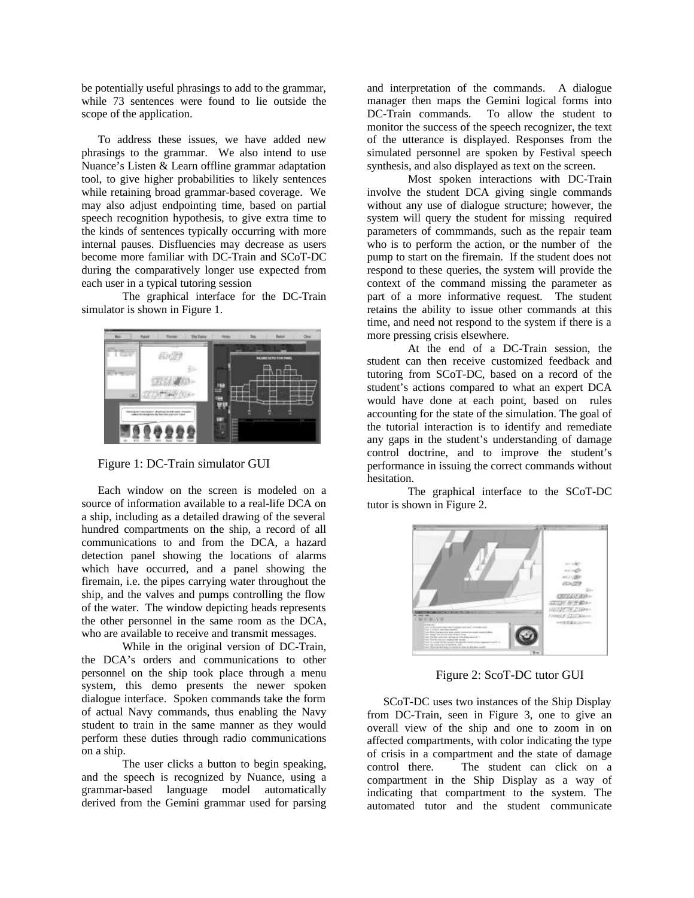be potentially useful phrasings to add to the grammar, while 73 sentences were found to lie outside the scope of the application.

To address these issues, we have added new phrasings to the grammar. We also intend to use Nuance's Listen & Learn offline grammar adaptation tool, to give higher probabilities to likely sentences while retaining broad grammar-based coverage. We may also adjust endpointing time, based on partial speech recognition hypothesis, to give extra time to the kinds of sentences typically occurring with more internal pauses. Disfluencies may decrease as users become more familiar with DC-Train and SCoT-DC during the comparatively longer use expected from each user in a typical tutoring session

The graphical interface for the DC-Train simulator is shown in Figure 1.



Figure 1: DC-Train simulator GUI

Each window on the screen is modeled on a source of information available to a real-life DCA on a ship, including as a detailed drawing of the several hundred compartments on the ship, a record of all communications to and from the DCA, a hazard detection panel showing the locations of alarms which have occurred, and a panel showing the firemain, i.e. the pipes carrying water throughout the ship, and the valves and pumps controlling the flow of the water. The window depicting heads represents the other personnel in the same room as the DCA, who are available to receive and transmit messages.

While in the original version of DC-Train, the DCA's orders and communications to other personnel on the ship took place through a menu system, this demo presents the newer spoken dialogue interface. Spoken commands take the form of actual Navy commands, thus enabling the Navy student to train in the same manner as they would perform these duties through radio communications on a ship.

The user clicks a button to begin speaking, and the speech is recognized by Nuance, using a grammar-based language model automatically derived from the Gemini grammar used for parsing

and interpretation of the commands. A dialogue manager then maps the Gemini logical forms into DC-Train commands. To allow the student to monitor the success of the speech recognizer, the text of the utterance is displayed. Responses from the simulated personnel are spoken by Festival speech synthesis, and also displayed as text on the screen.

Most spoken interactions with DC-Train involve the student DCA giving single commands without any use of dialogue structure; however, the system will query the student for missing required parameters of commmands, such as the repair team who is to perform the action, or the number of the pump to start on the firemain. If the student does not respond to these queries, the system will provide the context of the command missing the parameter as part of a more informative request. The student retains the ability to issue other commands at this time, and need not respond to the system if there is a more pressing crisis elsewhere.

At the end of a DC-Train session, the student can then receive customized feedback and tutoring from SCoT-DC, based on a record of the student's actions compared to what an expert DCA would have done at each point, based on rules accounting for the state of the simulation. The goal of the tutorial interaction is to identify and remediate any gaps in the student's understanding of damage control doctrine, and to improve the student's performance in issuing the correct commands without hesitation.

The graphical interface to the SCoT-DC tutor is shown in Figure 2.



Figure 2: ScoT-DC tutor GUI

SCoT-DC uses two instances of the Ship Display from DC-Train, seen in Figure 3, one to give an overall view of the ship and one to zoom in on affected compartments, with color indicating the type of crisis in a compartment and the state of damage control there. The student can click on a compartment in the Ship Display as a way of indicating that compartment to the system. The automated tutor and the student communicate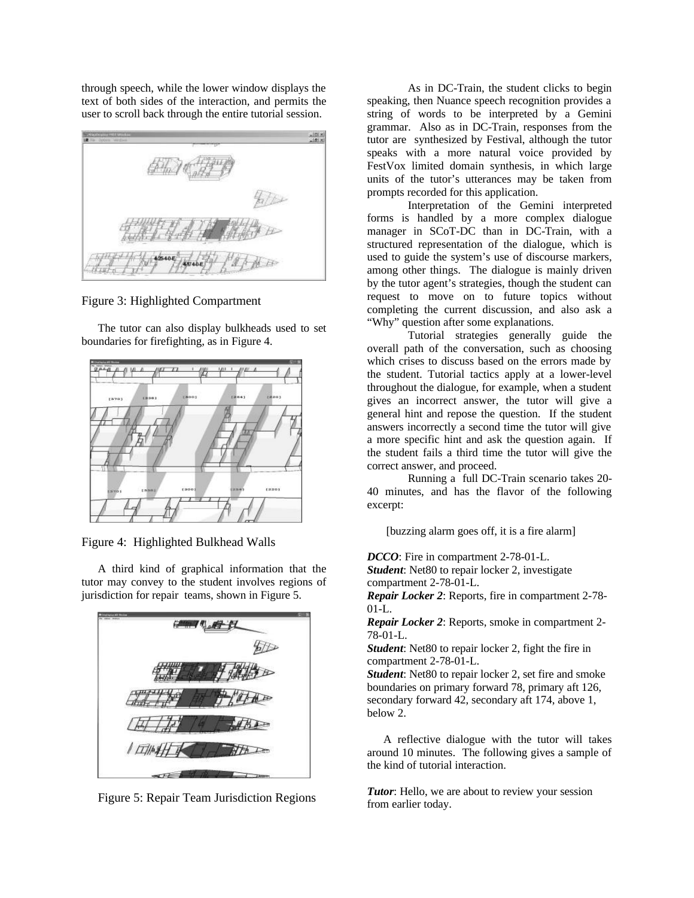through speech, while the lower window displays the text of both sides of the interaction, and permits the user to scroll back through the entire tutorial session.



Figure 3: Highlighted Compartment

The tutor can also display bulkheads used to set boundaries for firefighting, as in Figure 4.



Figure 4: Highlighted Bulkhead Walls

A third kind of graphical information that the tutor may convey to the student involves regions of jurisdiction for repair teams, shown in Figure 5.



Figure 5: Repair Team Jurisdiction Regions

As in DC-Train, the student clicks to begin speaking, then Nuance speech recognition provides a string of words to be interpreted by a Gemini grammar. Also as in DC-Train, responses from the tutor are synthesized by Festival, although the tutor speaks with a more natural voice provided by FestVox limited domain synthesis, in which large units of the tutor's utterances may be taken from prompts recorded for this application.

Interpretation of the Gemini interpreted forms is handled by a more complex dialogue manager in SCoT-DC than in DC-Train, with a structured representation of the dialogue, which is used to guide the system's use of discourse markers, among other things. The dialogue is mainly driven by the tutor agent's strategies, though the student can request to move on to future topics without completing the current discussion, and also ask a "Why" question after some explanations.

Tutorial strategies generally guide the overall path of the conversation, such as choosing which crises to discuss based on the errors made by the student. Tutorial tactics apply at a lower-level throughout the dialogue, for example, when a student gives an incorrect answer, the tutor will give a general hint and repose the question. If the student answers incorrectly a second time the tutor will give a more specific hint and ask the question again. If the student fails a third time the tutor will give the correct answer, and proceed.

Running a full DC-Train scenario takes 20- 40 minutes, and has the flavor of the following excerpt:

[buzzing alarm goes off, it is a fire alarm]

*DCCO*: Fire in compartment 2-78-01-L.

*Student*: Net80 to repair locker 2, investigate compartment 2-78-01-L.

*Repair Locker 2*: Reports, fire in compartment 2-78- 01-L.

*Repair Locker 2*: Reports, smoke in compartment 2- 78-01-L.

*Student*: Net80 to repair locker 2, fight the fire in compartment 2-78-01-L.

*Student*: Net80 to repair locker 2, set fire and smoke boundaries on primary forward 78, primary aft 126, secondary forward 42, secondary aft 174, above 1, below 2.

A reflective dialogue with the tutor will takes around 10 minutes. The following gives a sample of the kind of tutorial interaction.

*Tutor*: Hello, we are about to review your session from earlier today.